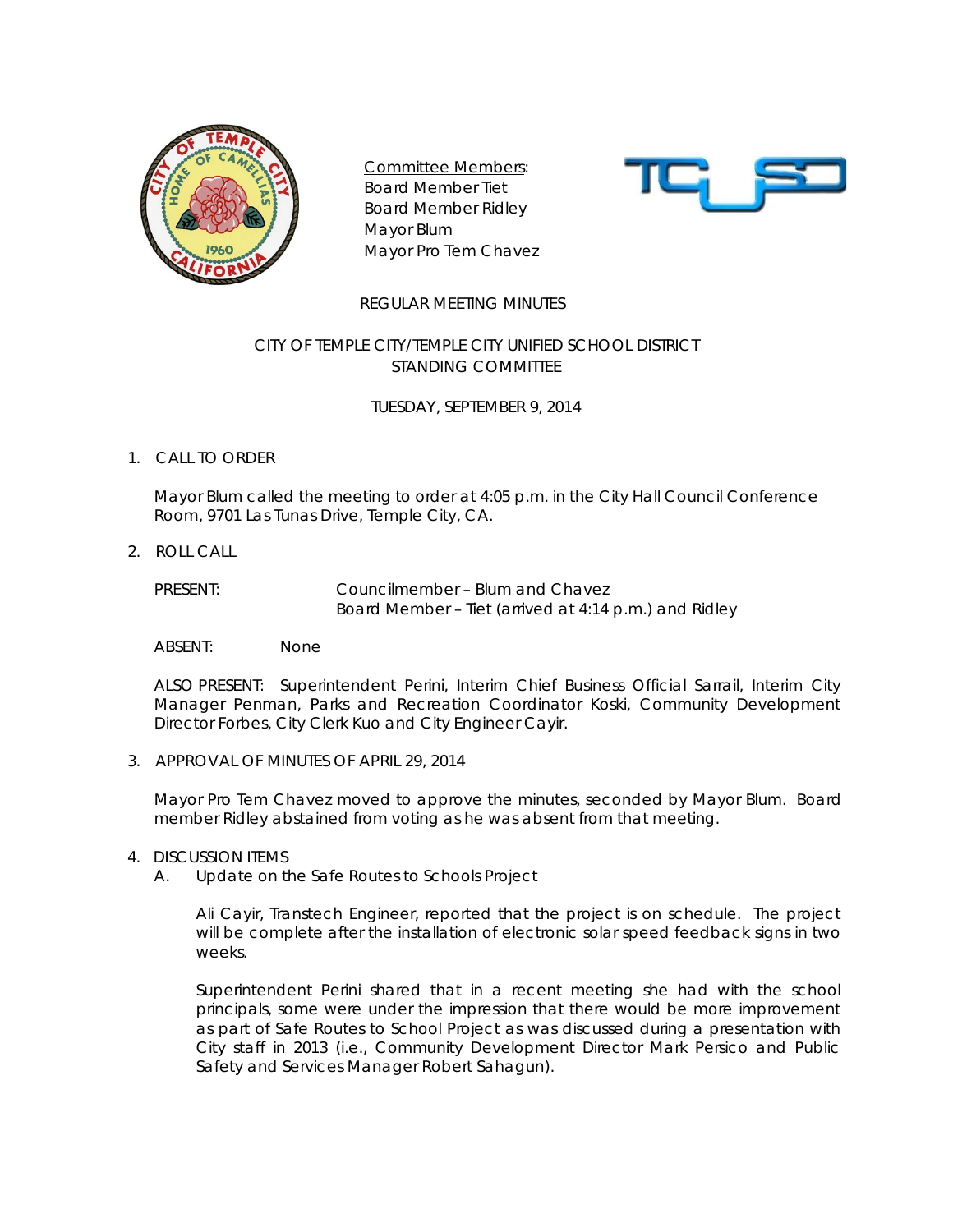

Committee Members: Board Member Tiet Board Member Ridley Mayor Blum Mayor Pro Tem Chavez



### REGULAR MEETING MINUTES

## CITY OF TEMPLE CITY/TEMPLE CITY UNIFIED SCHOOL DISTRICT STANDING COMMITTEE

TUESDAY, SEPTEMBER 9, 2014

## 1. CALL TO ORDER

Mayor Blum called the meeting to order at 4:05 p.m. in the City Hall Council Conference Room, 9701 Las Tunas Drive, Temple City, CA.

2. ROLL CALL

PRESENT: Councilmember – Blum and Chavez Board Member – Tiet (arrived at 4:14 p.m.) and Ridley

ABSENT: None

ALSO PRESENT: Superintendent Perini, Interim Chief Business Official Sarrail, Interim City Manager Penman, Parks and Recreation Coordinator Koski, Community Development Director Forbes, City Clerk Kuo and City Engineer Cayir.

3. APPROVAL OF MINUTES OF APRIL 29, 2014

Mayor Pro Tem Chavez moved to approve the minutes, seconded by Mayor Blum. Board member Ridley abstained from voting as he was absent from that meeting.

### 4. DISCUSSION ITEMS

A. Update on the Safe Routes to Schools Project

Ali Cayir, Transtech Engineer, reported that the project is on schedule. The project will be complete after the installation of electronic solar speed feedback signs in two weeks.

Superintendent Perini shared that in a recent meeting she had with the school principals, some were under the impression that there would be more improvement as part of Safe Routes to School Project as was discussed during a presentation with City staff in 2013 (i.e., Community Development Director Mark Persico and Public Safety and Services Manager Robert Sahagun).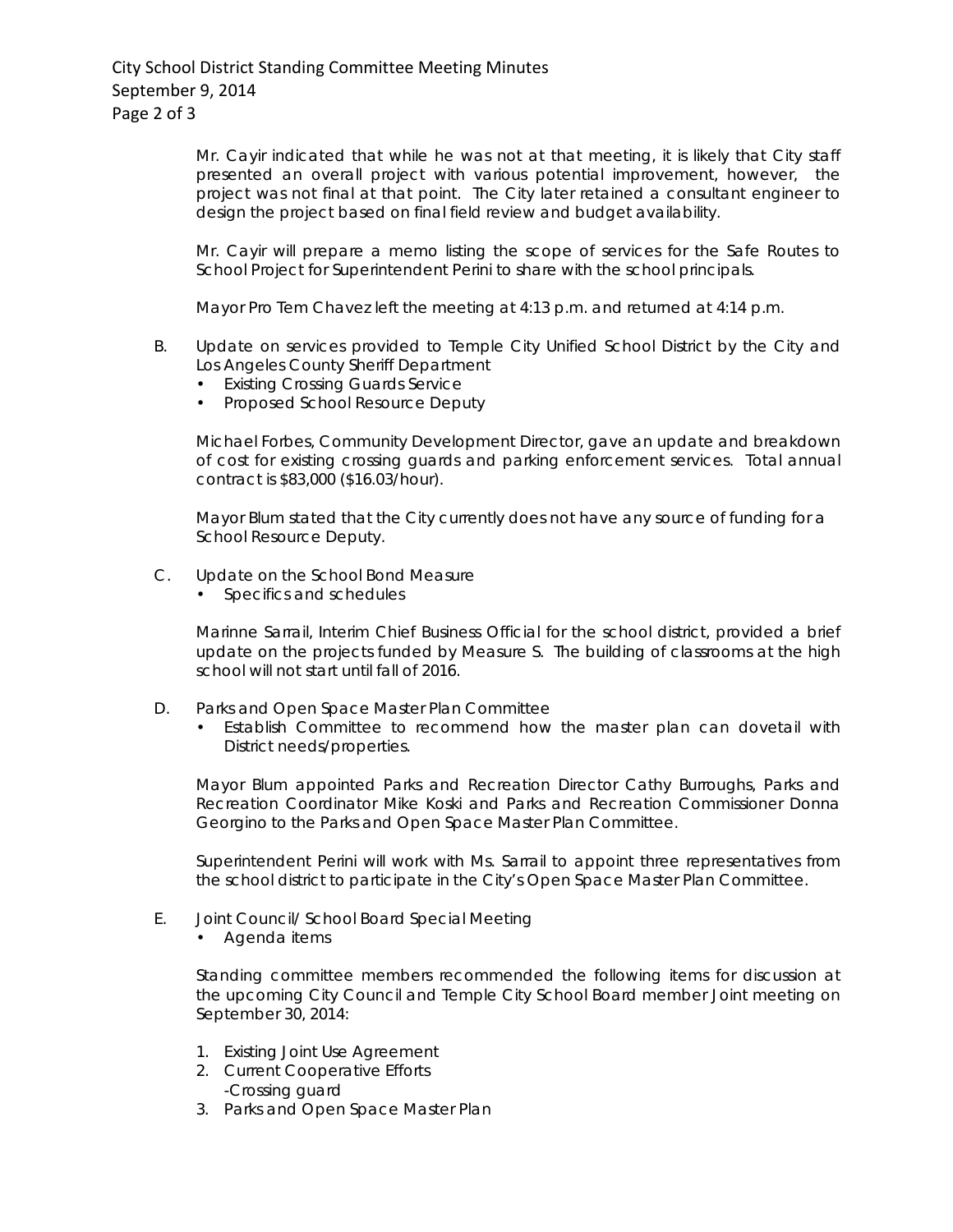# City School District Standing Committee Meeting Minutes September 9, 2014 Page 2 of 3

Mr. Cayir indicated that while he was not at that meeting, it is likely that City staff presented an overall project with various potential improvement, however, the project was not final at that point. The City later retained a consultant engineer to design the project based on final field review and budget availability.

Mr. Cayir will prepare a memo listing the scope of services for the Safe Routes to School Project for Superintendent Perini to share with the school principals.

Mayor Pro Tem Chavez left the meeting at 4:13 p.m. and returned at 4:14 p.m.

- B. Update on services provided to Temple City Unified School District by the City and Los Angeles County Sheriff Department
	- Existing Crossing Guards Service
	- Proposed School Resource Deputy

Michael Forbes, Community Development Director, gave an update and breakdown of cost for existing crossing guards and parking enforcement services. Total annual contract is \$83,000 (\$16.03/hour).

Mayor Blum stated that the City currently does not have any source of funding for a School Resource Deputy.

- C. Update on the School Bond Measure
	- Specifics and schedules

Marinne Sarrail, Interim Chief Business Official for the school district, provided a brief update on the projects funded by Measure S. The building of classrooms at the high school will not start until fall of 2016.

- D. Parks and Open Space Master Plan Committee
	- Establish Committee to recommend how the master plan can dovetail with District needs/properties.

Mayor Blum appointed Parks and Recreation Director Cathy Burroughs, Parks and Recreation Coordinator Mike Koski and Parks and Recreation Commissioner Donna Georgino to the Parks and Open Space Master Plan Committee.

Superintendent Perini will work with Ms. Sarrail to appoint three representatives from the school district to participate in the City's Open Space Master Plan Committee.

- E. Joint Council/ School Board Special Meeting
	- Agenda items

Standing committee members recommended the following items for discussion at the upcoming City Council and Temple City School Board member Joint meeting on September 30, 2014:

- 1. Existing Joint Use Agreement
- 2. Current Cooperative Efforts -Crossing guard
- 3. Parks and Open Space Master Plan